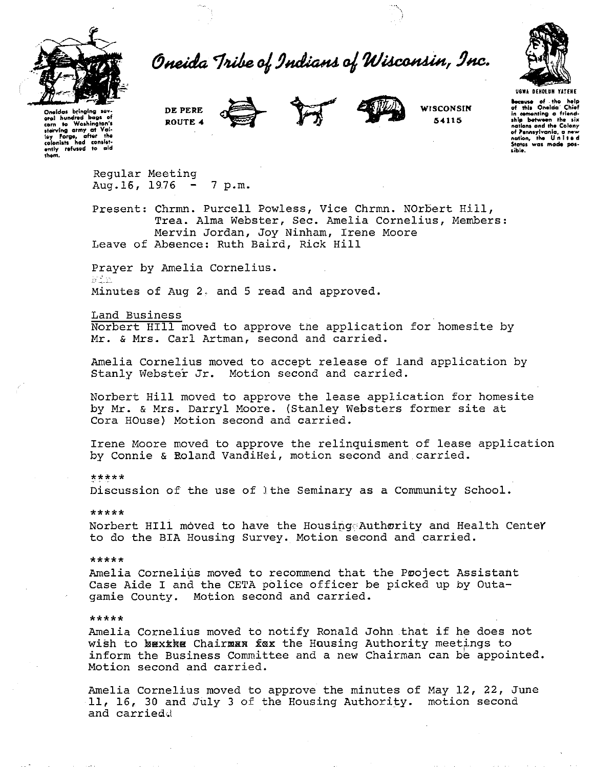

Oneida Tribe of Indians of Wisconsin, Inc.



**Oneidas** bring oral hundred bags of<br>corn to Woshington's **lteirvlng army at Val· l11y forge, after the colonl1t1 had con1bt· ently refvwd to aid them.**  **DEPERE ROUTE 4** 





**WISCONSIN**  54115

**example of the help of this Oneida' Chief in comenting a friend-** ship between the six nations and the Colony **of l'enntylvanla, a n•w nation, the U n 1 t e <sup>d</sup> Stotw wat mocM> pol· 1ible.** 

Regular Meeting Aug.  $16$ ,  $1976 - 7$  p.m.

Present: Chrmn. Purcell Powless, Vice Chrmn. NOrbert Hill, Trea. Alma Webster, Sec. Amelia Cornelius, Members: Mervin Jordan, Joy Ninham, Irene Moore Leave of Absence: Ruth Baird, Rick Hill

Prayer by Amelia Cornelius.<br>Fin Minutes of Aug 2. and 5 read and approved.

Land Business

Norbert Hill moved to approve the application for homesite by Mr. & Mrs. Carl Artman, second and carried.

Amelia Cornelius moved to accept release of land application by Stanly Webster Jr. Motion second and carried.

Norbert Hill moved to approve the lease application for homesite by Mr. & Mrs. Darryl Moore. (Stanley Websters former site at Cora HOuse) Motion second and carried.

Irene Moore moved to approve the relinquisment of lease application by Connie & Roland VandiHei, motion second and carried.

\*\*\*\*\*

Discussion of the use of lthe Seminary as a Community School.

\*\*\*\*\*

Norbert HIll moved to have the Housing Authority and Health CenteY to do the BIA Housing Survey. Motion second and carried.

\*\*\*\*\*

Amelia Cornelius moved to recommend that the Pooject Assistant Case Aide I and the CETA police officer be picked up by Outagamie County. Motion second and carried.

\*\*\*\*\*

Amelia Cornelius moved to notify Ronald John that if he does not wish to bexxke Chairman fox the Housing Authority meetings to inform the Business Committee and a new Chairman can be appointed. Motion second and carried.

Amelia Cornelius moved to approve the minutes of May 12, 22, June 11, 16, 30 and July 3 of the Housing Authority. motion second and carried.